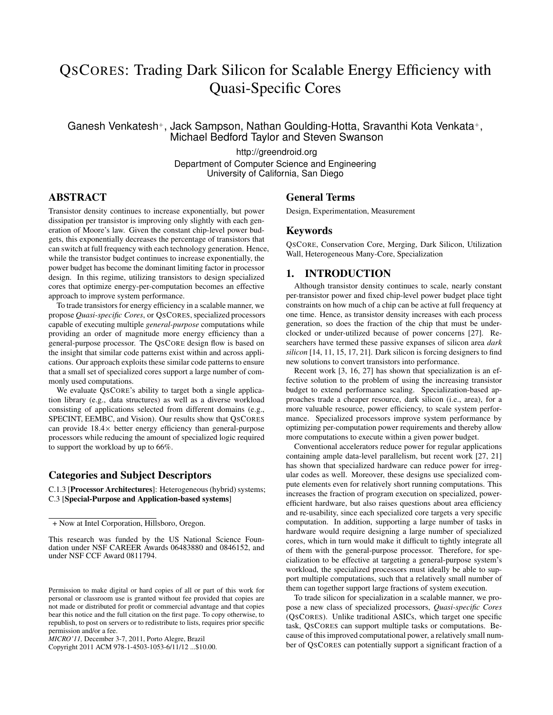# QSCORES: Trading Dark Silicon for Scalable Energy Efficiency with Quasi-Specific Cores

Ganesh Venkatesh+, Jack Sampson, Nathan Goulding-Hotta, Sravanthi Kota Venkata+, Michael Bedford Taylor and Steven Swanson

http://greendroid.org

Department of Computer Science and Engineering University of California, San Diego

# ABSTRACT

Transistor density continues to increase exponentially, but power dissipation per transistor is improving only slightly with each generation of Moore's law. Given the constant chip-level power budgets, this exponentially decreases the percentage of transistors that can switch at full frequency with each technology generation. Hence, while the transistor budget continues to increase exponentially, the power budget has become the dominant limiting factor in processor design. In this regime, utilizing transistors to design specialized cores that optimize energy-per-computation becomes an effective approach to improve system performance.

To trade transistors for energy efficiency in a scalable manner, we propose *Quasi-specific Cores*, or QSCORES, specialized processors capable of executing multiple *general-purpose* computations while providing an order of magnitude more energy efficiency than a general-purpose processor. The QSCORE design flow is based on the insight that similar code patterns exist within and across applications. Our approach exploits these similar code patterns to ensure that a small set of specialized cores support a large number of commonly used computations.

We evaluate QSCORE's ability to target both a single application library (e.g., data structures) as well as a diverse workload consisting of applications selected from different domains (e.g., SPECINT, EEMBC, and Vision). Our results show that QSCORES can provide  $18.4\times$  better energy efficiency than general-purpose processors while reducing the amount of specialized logic required to support the workload by up to 66%.

# Categories and Subject Descriptors

C.1.3 [Processor Architectures]: Heterogeneous (hybrid) systems; C.3 [Special-Purpose and Application-based systems]

Copyright 2011 ACM 978-1-4503-1053-6/11/12 ...\$10.00.

#### General Terms

Design, Experimentation, Measurement

#### Keywords

QSCORE, Conservation Core, Merging, Dark Silicon, Utilization Wall, Heterogeneous Many-Core, Specialization

# 1. INTRODUCTION

Although transistor density continues to scale, nearly constant per-transistor power and fixed chip-level power budget place tight constraints on how much of a chip can be active at full frequency at one time. Hence, as transistor density increases with each process generation, so does the fraction of the chip that must be underclocked or under-utilized because of power concerns [27]. Researchers have termed these passive expanses of silicon area *dark silicon* [14, 11, 15, 17, 21]. Dark silicon is forcing designers to find new solutions to convert transistors into performance.

Recent work [3, 16, 27] has shown that specialization is an effective solution to the problem of using the increasing transistor budget to extend performance scaling. Specialization-based approaches trade a cheaper resource, dark silicon (i.e., area), for a more valuable resource, power efficiency, to scale system performance. Specialized processors improve system performance by optimizing per-computation power requirements and thereby allow more computations to execute within a given power budget.

Conventional accelerators reduce power for regular applications containing ample data-level parallelism, but recent work [27, 21] has shown that specialized hardware can reduce power for irregular codes as well. Moreover, these designs use specialized compute elements even for relatively short running computations. This increases the fraction of program execution on specialized, powerefficient hardware, but also raises questions about area efficiency and re-usability, since each specialized core targets a very specific computation. In addition, supporting a large number of tasks in hardware would require designing a large number of specialized cores, which in turn would make it difficult to tightly integrate all of them with the general-purpose processor. Therefore, for specialization to be effective at targeting a general-purpose system's workload, the specialized processors must ideally be able to support multiple computations, such that a relatively small number of them can together support large fractions of system execution.

To trade silicon for specialization in a scalable manner, we propose a new class of specialized processors, *Quasi-specific Cores* (QSCORES). Unlike traditional ASICs, which target one specific task, QSCORES can support multiple tasks or computations. Because of this improved computational power, a relatively small number of QSCORES can potentially support a significant fraction of a

<sup>+</sup> Now at Intel Corporation, Hillsboro, Oregon.

This research was funded by the US National Science Foundation under NSF CAREER Awards 06483880 and 0846152, and under NSF CCF Award 0811794.

Permission to make digital or hard copies of all or part of this work for personal or classroom use is granted without fee provided that copies are not made or distributed for profit or commercial advantage and that copies bear this notice and the full citation on the first page. To copy otherwise, to republish, to post on servers or to redistribute to lists, requires prior specific permission and/or a fee.

*MICRO'11,* December 3-7, 2011, Porto Alegre, Brazil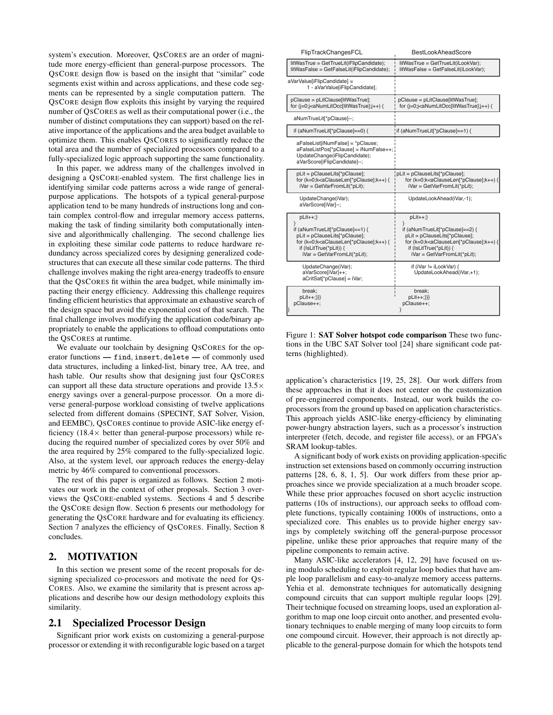system's execution. Moreover, QSCORES are an order of magnitude more energy-efficient than general-purpose processors. The QSCORE design flow is based on the insight that "similar" code segments exist within and across applications, and these code segments can be represented by a single computation pattern. The QSCORE design flow exploits this insight by varying the required number of QSCORES as well as their computational power (i.e., the number of distinct computations they can support) based on the relative importance of the applications and the area budget available to optimize them. This enables QSCORES to significantly reduce the total area and the number of specialized processors compared to a fully-specialized logic approach supporting the same functionality.

In this paper, we address many of the challenges involved in designing a QSCORE-enabled system. The first challenge lies in identifying similar code patterns across a wide range of generalpurpose applications. The hotspots of a typical general-purpose application tend to be many hundreds of instructions long and contain complex control-flow and irregular memory access patterns, making the task of finding similarity both computationally intensive and algorithmically challenging. The second challenge lies in exploiting these similar code patterns to reduce hardware redundancy across specialized cores by designing generalized codestructures that can execute all these similar code patterns. The third challenge involves making the right area-energy tradeoffs to ensure that the QSCORES fit within the area budget, while minimally impacting their energy efficiency. Addressing this challenge requires finding efficient heuristics that approximate an exhaustive search of the design space but avoid the exponential cost of that search. The final challenge involves modifying the application code/binary appropriately to enable the applications to offload computations onto the QSCORES at runtime.

We evaluate our toolchain by designing QSCORES for the operator functions — find*,* insert*,* delete — of commonly used data structures, including a linked-list, binary tree, AA tree, and hash table. Our results show that designing just four QSCORES can support all these data structure operations and provide  $13.5\times$ energy savings over a general-purpose processor. On a more diverse general-purpose workload consisting of twelve applications selected from different domains (SPECINT, SAT Solver, Vision, and EEMBC), QSCORES continue to provide ASIC-like energy efficiency  $(18.4 \times$  better than general-purpose processors) while reducing the required number of specialized cores by over 50% and the area required by 25% compared to the fully-specialized logic. Also, at the system level, our approach reduces the energy-delay metric by 46% compared to conventional processors.

The rest of this paper is organized as follows. Section 2 motivates our work in the context of other proposals. Section 3 overviews the QSCORE-enabled systems. Sections 4 and 5 describe the QSCORE design flow. Section 6 presents our methodology for generating the QSCORE hardware and for evaluating its efficiency. Section 7 analyzes the efficiency of QSCORES. Finally, Section 8 concludes.

## 2. MOTIVATION

In this section we present some of the recent proposals for designing specialized co-processors and motivate the need for QS-CORES. Also, we examine the similarity that is present across applications and describe how our design methodology exploits this similarity.

### 2.1 Specialized Processor Design

Significant prior work exists on customizing a general-purpose processor or extending it with reconfigurable logic based on a target

| FlipTrackChangesFCL                                                                                                                                                                                                                                     | BestLookAheadScore                                                                                                                                                                                          |
|---------------------------------------------------------------------------------------------------------------------------------------------------------------------------------------------------------------------------------------------------------|-------------------------------------------------------------------------------------------------------------------------------------------------------------------------------------------------------------|
| litWasTrue = GetTrueLit(iFlipCandidate);<br>litWasFalse = GetFalseLit(iFlipCandidate);                                                                                                                                                                  | litWasTrue = GetTrueLit(iLookVar);<br>litWasFalse = GetFalseLit(iLookVar);                                                                                                                                  |
| aVarValue[iFlipCandidate] =<br>1 - aVarValue[iFlipCandidate];                                                                                                                                                                                           |                                                                                                                                                                                                             |
| pClause = pLitClause[litWasTrue];<br>for (j=0;j <anumlitocc[litwastrue];j++) td="" {<=""><td>pClause = pLitClause[litWasTrue];<br/>for (j=0;j<anumlitocc[litwastrue];j++) td="" {<=""></anumlitocc[litwastrue];j++)></td></anumlitocc[litwastrue];j++)> | pClause = pLitClause[litWasTrue];<br>for (j=0;j <anumlitocc[litwastrue];j++) td="" {<=""></anumlitocc[litwastrue];j++)>                                                                                     |
| aNumTrueLit[*pClause]--;                                                                                                                                                                                                                                |                                                                                                                                                                                                             |
| if (aNumTrueLit[*pClause]==0) {                                                                                                                                                                                                                         | if (aNumTrueLit[*pClause]==1) {                                                                                                                                                                             |
| aFalseList[iNumFalse] = *pClause;<br>aFalseListPos[*pClause] = iNumFalse++;<br>UpdateChange(iFlipCandidate);<br>aVarScore[iFlipCandidate]--;                                                                                                            |                                                                                                                                                                                                             |
| pLit = pClauseLits[*pClause];<br>for (k=0;k <aclauselen[*pclause];k++) {<br="">iVar = GetVarFromLit(*pLit);</aclauselen[*pclause];k++)>                                                                                                                 | pLit = pClauseLits[*pClause];<br>for (k=0;k <aclauselen[*pclause];k++) {<br="">iVar = GetVarFromLit(*pLit);</aclauselen[*pclause];k++)>                                                                     |
| UpdateChange(iVar);<br>aVarScore[iVar]--;                                                                                                                                                                                                               | UpdateLookAhead(iVar,-1);                                                                                                                                                                                   |
| $p$ Lit $++;$<br>ł                                                                                                                                                                                                                                      | $p$ Lit $++;$                                                                                                                                                                                               |
| if (aNumTrueLit[*pClause]==1) {<br>pLit = pClauseLits[*pClause];<br>for (k=0;k <aclauselen[*pclause];k++) {<br="">if (IsLitTrue(*pLit)) {<br/>iVar = GetVarFromLit(*pLit);</aclauselen[*pclause];k++)>                                                  | ł<br>if (aNumTrueLit[*pClause]==2) {<br>pLit = pClauseLits[*pClause];<br>for (k=0;k <aclauselen[*pclause];k++) {<br="">if (IsLitTrue(*pLit)) {<br/>iVar = GetVarFromLit(*pLit);</aclauselen[*pclause];k++)> |
| UpdateChange(iVar);<br>aVarScore[iVar]++;<br>aCritSat[*pClause] = iVar;                                                                                                                                                                                 | if (iVar != iLookVar) {<br>UpdateLookAhead(iVar,+1);                                                                                                                                                        |
| break;<br>$p$ Lit++;}}}<br>pClause++;<br> }                                                                                                                                                                                                             | break:<br>$p$ Lit++;}}}<br>pClause++;<br>λ                                                                                                                                                                  |

Figure 1: SAT Solver hotspot code comparison These two functions in the UBC SAT Solver tool [24] share significant code patterns (highlighted).

i

application's characteristics [19, 25, 28]. Our work differs from these approaches in that it does not center on the customization of pre-engineered components. Instead, our work builds the coprocessors from the ground up based on application characteristics. This approach yields ASIC-like energy-efficiency by eliminating power-hungry abstraction layers, such as a processor's instruction interpreter (fetch, decode, and register file access), or an FPGA's SRAM lookup-tables.

A significant body of work exists on providing application-specific instruction set extensions based on commonly occurring instruction patterns [28, 6, 8, 1, 5]. Our work differs from these prior approaches since we provide specialization at a much broader scope. While these prior approaches focused on short acyclic instruction patterns (10s of instructions), our approach seeks to offload complete functions, typically containing 1000s of instructions, onto a specialized core. This enables us to provide higher energy savings by completely switching off the general-purpose processor pipeline, unlike these prior approaches that require many of the pipeline components to remain active.

Many ASIC-like accelerators [4, 12, 29] have focused on using modulo scheduling to exploit regular loop bodies that have ample loop parallelism and easy-to-analyze memory access patterns. Yehia et al. demonstrate techniques for automatically designing compound circuits that can support multiple regular loops [29]. Their technique focused on streaming loops, used an exploration algorithm to map one loop circuit onto another, and presented evolutionary techniques to enable merging of many loop circuits to form one compound circuit. However, their approach is not directly applicable to the general-purpose domain for which the hotspots tend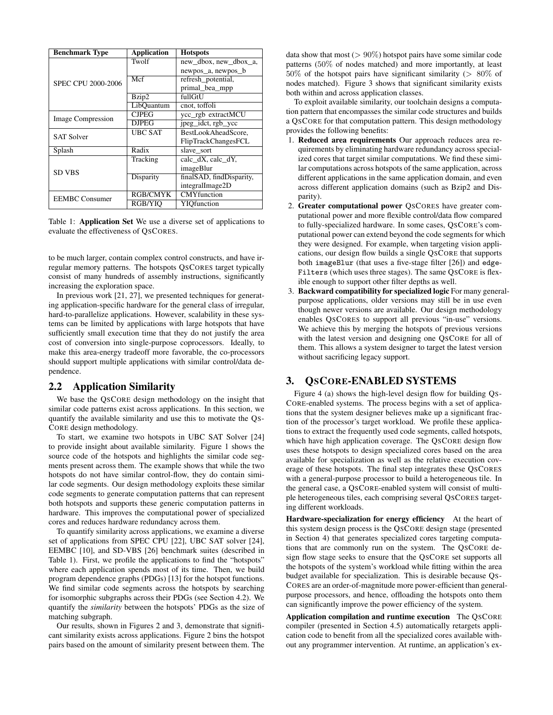| <b>Benchmark Type</b>    | <b>Application</b> | <b>Hotspots</b>          |
|--------------------------|--------------------|--------------------------|
| SPEC CPU 2000-2006       | Twolf              | new dbox, new dbox a,    |
|                          |                    | newpos_a, newpos_b       |
|                          | Mcf                | refresh potential,       |
|                          |                    | primal bea mpp           |
|                          | Bzip2              | fullGtU                  |
|                          | LibOuantum         | cnot, toffoli            |
| <b>Image Compression</b> | <b>CJPEG</b>       | ycc_rgb extractMCU       |
|                          | DJPEG              | jpeg_idct, rgb_ycc       |
| <b>SAT Solver</b>        | <b>UBC SAT</b>     | BestLookAheadScore.      |
|                          |                    | FlipTrackChangesFCL      |
| Splash                   | Radix              | slave sort               |
| <b>SD VBS</b>            | Tracking           | calc_dX, calc_dY,        |
|                          |                    | imageBlur                |
|                          | Disparity          | finalSAD, findDisparity, |
|                          |                    | integralImage2D          |
| <b>EEMBC</b> Consumer    | <b>RGB/CMYK</b>    | <b>CMY</b> function      |
|                          | RGB/YIO            | YIQfunction              |

Table 1: Application Set We use a diverse set of applications to evaluate the effectiveness of QSCORES.

to be much larger, contain complex control constructs, and have irregular memory patterns. The hotspots QSCORES target typically consist of many hundreds of assembly instructions, significantly increasing the exploration space.

In previous work [21, 27], we presented techniques for generating application-specific hardware for the general class of irregular, hard-to-parallelize applications. However, scalability in these systems can be limited by applications with large hotspots that have sufficiently small execution time that they do not justify the area cost of conversion into single-purpose coprocessors. Ideally, to make this area-energy tradeoff more favorable, the co-processors should support multiple applications with similar control/data dependence.

### 2.2 Application Similarity

We base the QSCORE design methodology on the insight that similar code patterns exist across applications. In this section, we quantify the available similarity and use this to motivate the QS-CORE design methodology.

To start, we examine two hotspots in UBC SAT Solver [24] to provide insight about available similarity. Figure 1 shows the source code of the hotspots and highlights the similar code segments present across them. The example shows that while the two hotspots do not have similar control-flow, they do contain similar code segments. Our design methodology exploits these similar code segments to generate computation patterns that can represent both hotspots and supports these generic computation patterns in hardware. This improves the computational power of specialized cores and reduces hardware redundancy across them.

To quantify similarity across applications, we examine a diverse set of applications from SPEC CPU [22], UBC SAT solver [24], EEMBC [10], and SD-VBS [26] benchmark suites (described in Table 1). First, we profile the applications to find the "hotspots" where each application spends most of its time. Then, we build program dependence graphs (PDGs) [13] for the hotspot functions. We find similar code segments across the hotspots by searching for isomorphic subgraphs across their PDGs (see Section 4.2). We quantify the *similarity* between the hotspots' PDGs as the size of matching subgraph.

Our results, shown in Figures 2 and 3, demonstrate that significant similarity exists across applications. Figure 2 bins the hotspot pairs based on the amount of similarity present between them. The

data show that most  $(> 90\%)$  hotspot pairs have some similar code patterns (50% of nodes matched) and more importantly, at least 50% of the hotspot pairs have significant similarity (*>* 80% of nodes matched). Figure 3 shows that significant similarity exists both within and across application classes.

To exploit available similarity, our toolchain designs a computation pattern that encompasses the similar code structures and builds a QSCORE for that computation pattern. This design methodology provides the following benefits:

- 1. Reduced area requirements Our approach reduces area requirements by eliminating hardware redundancy across specialized cores that target similar computations. We find these similar computations across hotspots of the same application, across different applications in the same application domain, and even across different application domains (such as Bzip2 and Disparity).
- 2. Greater computational power QSCORES have greater computational power and more flexible control/data flow compared to fully-specialized hardware. In some cases, QSCORE's computational power can extend beyond the code segments for which they were designed. For example, when targeting vision applications, our design flow builds a single QSCORE that supports both imageBlur (that uses a five-stage filter [26]) and edge-Filters (which uses three stages). The same QSCORE is flexible enough to support other filter depths as well.
- 3. Backward compatibility for specialized logic For many generalpurpose applications, older versions may still be in use even though newer versions are available. Our design methodology enables QSCORES to support all previous "in-use" versions. We achieve this by merging the hotspots of previous versions with the latest version and designing one QSCORE for all of them. This allows a system designer to target the latest version without sacrificing legacy support.

## 3. QSCORE-ENABLED SYSTEMS

Figure 4 (a) shows the high-level design flow for building QS-CORE-enabled systems. The process begins with a set of applications that the system designer believes make up a significant fraction of the processor's target workload. We profile these applications to extract the frequently used code segments, called hotspots, which have high application coverage. The QSCORE design flow uses these hotspots to design specialized cores based on the area available for specialization as well as the relative execution coverage of these hotspots. The final step integrates these QSCORES with a general-purpose processor to build a heterogeneous tile. In the general case, a QSCORE-enabled system will consist of multiple heterogeneous tiles, each comprising several QSCORES targeting different workloads.

Hardware-specialization for energy efficiency At the heart of this system design process is the QSCORE design stage (presented in Section 4) that generates specialized cores targeting computations that are commonly run on the system. The QSCORE design flow stage seeks to ensure that the QSCORE set supports all the hotspots of the system's workload while fitting within the area budget available for specialization. This is desirable because QS-CORES are an order-of-magnitude more power-efficient than generalpurpose processors, and hence, offloading the hotspots onto them can significantly improve the power efficiency of the system.

Application compilation and runtime execution The QSCORE compiler (presented in Section 4.5) automatically retargets application code to benefit from all the specialized cores available without any programmer intervention. At runtime, an application's ex-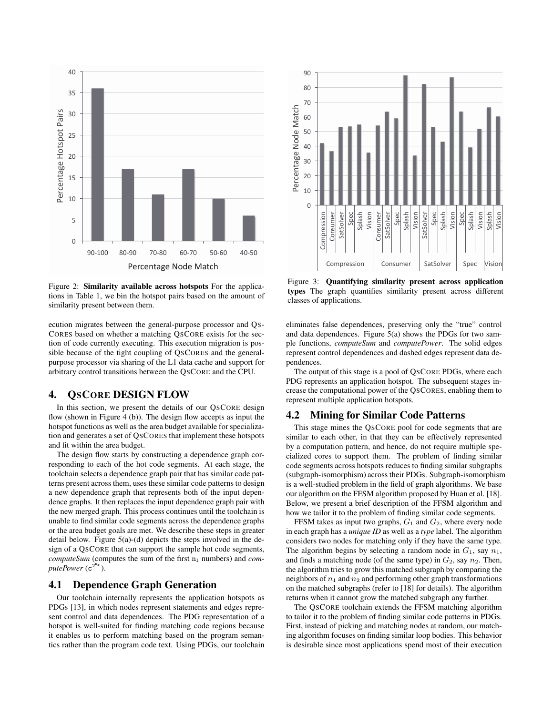

Figure 2: Similarity available across hotspots For the applications in Table 1, we bin the hotspot pairs based on the amount of similarity present between them.

ecution migrates between the general-purpose processor and QS-CORES based on whether a matching QSCORE exists for the section of code currently executing. This execution migration is possible because of the tight coupling of QSCORES and the generalpurpose processor via sharing of the L1 data cache and support for arbitrary control transitions between the QSCORE and the CPU.

# 4. QSCORE DESIGN FLOW

In this section, we present the details of our QSCORE design flow (shown in Figure 4 (b)). The design flow accepts as input the hotspot functions as well as the area budget available for specialization and generates a set of QSCORES that implement these hotspots and fit within the area budget.

The design flow starts by constructing a dependence graph corresponding to each of the hot code segments. At each stage, the toolchain selects a dependence graph pair that has similar code patterns present across them, uses these similar code patterns to design a new dependence graph that represents both of the input dependence graphs. It then replaces the input dependence graph pair with the new merged graph. This process continues until the toolchain is unable to find similar code segments across the dependence graphs or the area budget goals are met. We describe these steps in greater detail below. Figure 5(a)-(d) depicts the steps involved in the design of a QSCORE that can support the sample hot code segments, *computeSum* (computes the sum of the first  $n_1$  numbers) and *com*putePower (c<sup>2nr</sup>).

# 4.1 Dependence Graph Generation

Our toolchain internally represents the application hotspots as PDGs [13], in which nodes represent statements and edges represent control and data dependences. The PDG representation of a hotspot is well-suited for finding matching code regions because it enables us to perform matching based on the program semantics rather than the program code text. Using PDGs, our toolchain



Figure 3: Quantifying similarity present across application types The graph quantifies similarity present across different classes of applications.

eliminates false dependences, preserving only the "true" control and data dependences. Figure 5(a) shows the PDGs for two sample functions, *computeSum* and *computePower*. The solid edges represent control dependences and dashed edges represent data dependences.

The output of this stage is a pool of QSCORE PDGs, where each PDG represents an application hotspot. The subsequent stages increase the computational power of the QSCORES, enabling them to represent multiple application hotspots.

#### 4.2 Mining for Similar Code Patterns

This stage mines the QSCORE pool for code segments that are similar to each other, in that they can be effectively represented by a computation pattern, and hence, do not require multiple specialized cores to support them. The problem of finding similar code segments across hotspots reduces to finding similar subgraphs (subgraph-isomorphism) across their PDGs. Subgraph-isomorphism is a well-studied problem in the field of graph algorithms. We base our algorithm on the FFSM algorithm proposed by Huan et al. [18]. Below, we present a brief description of the FFSM algorithm and how we tailor it to the problem of finding similar code segments.

FFSM takes as input two graphs,  $G_1$  and  $G_2$ , where every node in each graph has a *unique ID* as well as a *type* label. The algorithm considers two nodes for matching only if they have the same type. The algorithm begins by selecting a random node in  $G_1$ , say  $n_1$ , and finds a matching node (of the same type) in  $G_2$ , say  $n_2$ . Then, the algorithm tries to grow this matched subgraph by comparing the neighbors of  $n_1$  and  $n_2$  and performing other graph transformations on the matched subgraphs (refer to [18] for details). The algorithm returns when it cannot grow the matched subgraph any further.

The QSCORE toolchain extends the FFSM matching algorithm to tailor it to the problem of finding similar code patterns in PDGs. First, instead of picking and matching nodes at random, our matching algorithm focuses on finding similar loop bodies. This behavior is desirable since most applications spend most of their execution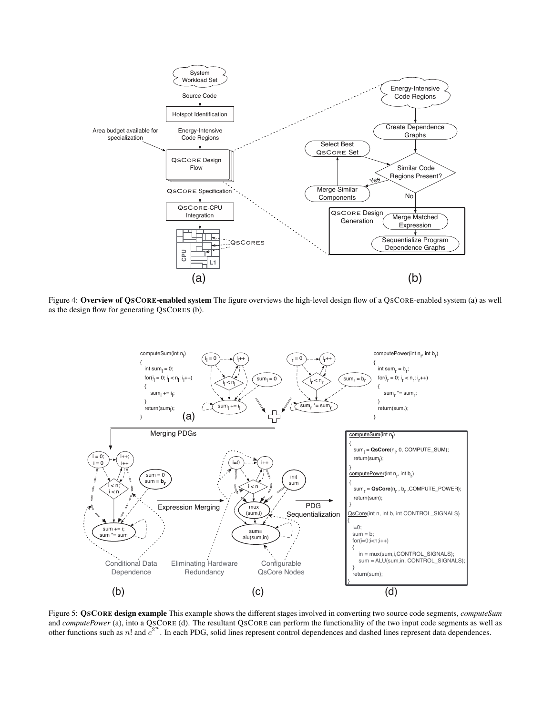

Figure 4: Overview of QSCORE-enabled system The figure overviews the high-level design flow of a QSCORE-enabled system (a) as well as the design flow for generating QSCORES (b).



Figure 5: QSCORE design example This example shows the different stages involved in converting two source code segments, *computeSum* and *computePower* (a), into a QSCORE (d). The resultant QSCORE can perform the functionality of the two input code segments as well as other functions such as *n*! and  $c^{2^n}$ . In each PDG, solid lines represent control dependences and dashed lines represent data dependences.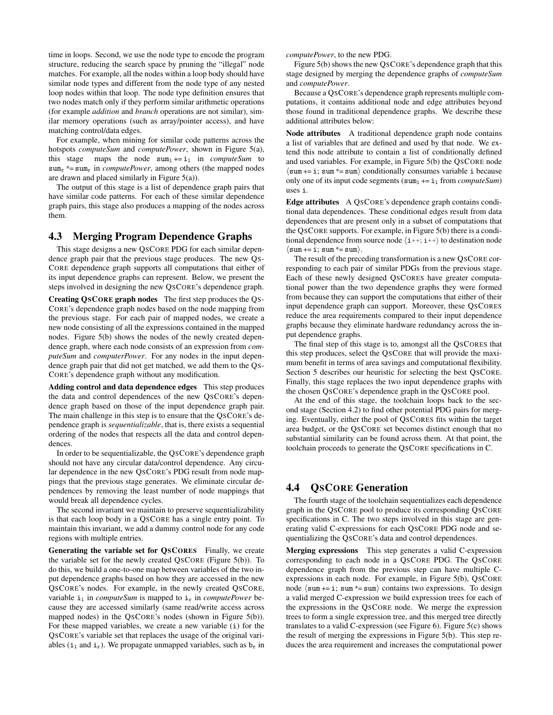time in loops. Second, we use the node type to encode the program structure, reducing the search space by pruning the "illegal" node matches. For example, all the nodes within a loop body should have similar node types and different from the node type of any nested loop nodes within that loop. The node type definition ensures that two nodes match only if they perform similar arithmetic operations (for example *addition* and *branch* operations are not similar), similar memory operations (such as array/pointer access), and have matching control/data edges.

For example, when mining for similar code patterns across the hotspots *computeSum* and *computePower*, shown in Figure 5(a), this stage maps the node  $sum_1 += i_1$  in *computeSum* to  $sum<sub>r</sub>$  \*= sum<sub>r</sub> in *computePower*, among others (the mapped nodes are drawn and placed similarly in Figure 5(a)).

The output of this stage is a list of dependence graph pairs that have similar code patterns. For each of these similar dependence graph pairs, this stage also produces a mapping of the nodes across them.

#### 4.3 Merging Program Dependence Graphs

This stage designs a new QSCORE PDG for each similar dependence graph pair that the previous stage produces. The new QS-CORE dependence graph supports all computations that either of its input dependence graphs can represent. Below, we present the steps involved in designing the new QSCORE's dependence graph.

Creating QSCORE graph nodes The first step produces the QS-CORE's dependence graph nodes based on the node mapping from the previous stage. For each pair of mapped nodes, we create a new node consisting of all the expressions contained in the mapped nodes. Figure 5(b) shows the nodes of the newly created dependence graph, where each node consists of an expression from *computeSum* and *computerPower*. For any nodes in the input dependence graph pair that did not get matched, we add them to the QS-CORE's dependence graph without any modification.

Adding control and data dependence edges This step produces the data and control dependences of the new QSCORE's dependence graph based on those of the input dependence graph pair. The main challenge in this step is to ensure that the QSCORE's dependence graph is *sequentializable*, that is, there exists a sequential ordering of the nodes that respects all the data and control dependences.

In order to be sequentializable, the QSCORE's dependence graph should not have any circular data/control dependence. Any circular dependence in the new QSCORE's PDG result from node mappings that the previous stage generates. We eliminate circular dependences by removing the least number of node mappings that would break all dependence cycles.

The second invariant we maintain to preserve sequentializability is that each loop body in a QSCORE has a single entry point. To maintain this invariant, we add a dummy control node for any code regions with multiple entries.

Generating the variable set for QSCORES Finally, we create the variable set for the newly created QSCORE (Figure 5(b)). To do this, we build a one-to-one map between variables of the two input dependence graphs based on how they are accessed in the new QSCORE's nodes. For example, in the newly created QSCORE, variable  $i_1$  in *computeSum* is mapped to  $i_r$  in *computePower* because they are accessed similarly (same read/write access across mapped nodes) in the QSCORE's nodes (shown in Figure 5(b)). For these mapped variables, we create a new variable (i) for the QSCORE's variable set that replaces the usage of the original variables ( $i_1$  and  $i_r$ ). We propagate unmapped variables, such as  $b_r$  in *computePower*, to the new PDG.

Figure 5(b) shows the new QSCORE's dependence graph that this stage designed by merging the dependence graphs of *computeSum* and *computePower*.

Because a QSCORE's dependence graph represents multiple computations, it contains additional node and edge attributes beyond those found in traditional dependence graphs. We describe these additional attributes below:

Node attributes A traditional dependence graph node contains a list of variables that are defined and used by that node. We extend this node attribute to contain a list of conditionally defined and used variables. For example, in Figure 5(b) the QSCORE node  $\langle \text{sum} \rangle$  += i; sum \*= sum $\rangle$  conditionally consumes variable i because only one of its input code segments  $(sum_1 += i_1$  from *computeSum*) uses i.

Edge attributes A QSCORE's dependence graph contains conditional data dependences. These conditional edges result from data dependences that are present only in a subset of computations that the QSCORE supports. For example, in Figure 5(b) there is a conditional dependence from source node  $\langle i++; i++\rangle$  to destination node  $\langle \text{sum} += i; \text{sum} * = \text{sum}.$ 

The result of the preceding transformation is a new QSCORE corresponding to each pair of similar PDGs from the previous stage. Each of these newly designed QSCORES have greater computational power than the two dependence graphs they were formed from because they can support the computations that either of their input dependence graph can support. Moreover, these QSCORES reduce the area requirements compared to their input dependence graphs because they eliminate hardware redundancy across the input dependence graphs.

The final step of this stage is to, amongst all the QSCORES that this step produces, select the QSCORE that will provide the maximum benefit in terms of area savings and computational flexibility. Section 5 describes our heuristic for selecting the best QSCORE. Finally, this stage replaces the two input dependence graphs with the chosen QSCORE's dependence graph in the QSCORE pool.

At the end of this stage, the toolchain loops back to the second stage (Section 4.2) to find other potential PDG pairs for merging. Eventually, either the pool of QSCORES fits within the target area budget, or the QSCORE set becomes distinct enough that no substantial similarity can be found across them. At that point, the toolchain proceeds to generate the QSCORE specifications in C.

### 4.4 QSCORE Generation

The fourth stage of the toolchain sequentializes each dependence graph in the QSCORE pool to produce its corresponding QSCORE specifications in C. The two steps involved in this stage are generating valid C-expressions for each QSCORE PDG node and sequentializing the QSCORE's data and control dependences.

Merging expressions This step generates a valid C-expression corresponding to each node in a QSCORE PDG. The QSCORE dependence graph from the previous step can have multiple Cexpressions in each node. For example, in Figure 5(b), QSCORE node  $\langle \text{sum} \rangle + = \text{i}; \text{sum} \rangle$  contains two expressions. To design a valid merged C-expression we build expression trees for each of the expressions in the QSCORE node. We merge the expression trees to form a single expression tree, and this merged tree directly translates to a valid C-expression (see Figure 6). Figure 5(c) shows the result of merging the expressions in Figure 5(b). This step reduces the area requirement and increases the computational power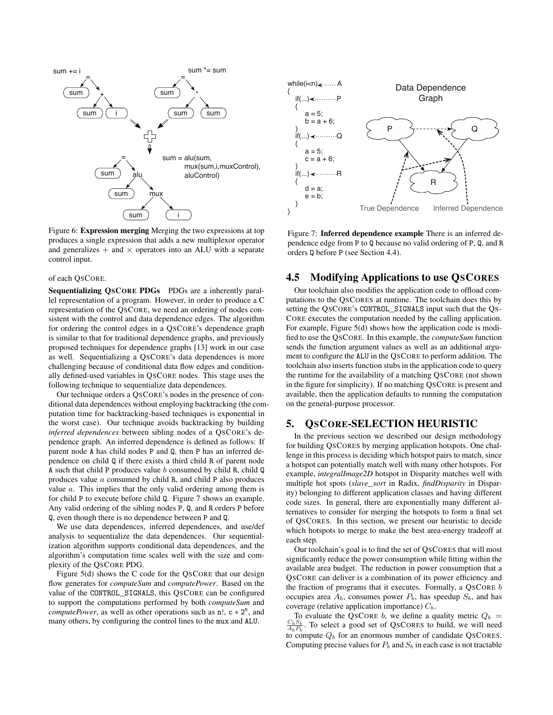

Figure 6: Expression merging Merging the two expressions at top produces a single expression that adds a new multiplexor operator and generalizes  $+$  and  $\times$  operators into an ALU with a separate control input.

#### of each QSCORE.

Sequentializing OSCORE PDGs PDGs are a inherently parallel representation of a program. However, in order to produce a C representation of the QSCORE, we need an ordering of nodes consistent with the control and data dependence edges. The algorithm for ordering the control edges in a QSCORE's dependence graph is similar to that for traditional dependence graphs, and previously proposed techniques for dependence graphs [13] work in our case as well. Sequentializing a QSCORE's data dependences is more challenging because of conditional data flow edges and conditionally defined-used variables in QSCORE nodes. This stage uses the following technique to sequentialize data dependences.

Our technique orders a QSCORE's nodes in the presence of conditional data dependences without employing backtracking (the computation time for backtracking-based techniques is exponential in the worst case). Our technique avoids backtracking by building *inferred dependences* between sibling nodes of a QSCORE's dependence graph. An inferred dependence is defined as follows: If parent node A has child nodes P and Q, then P has an inferred dependence on child Q if there exists a third child R of parent node A such that child P produces value *b* consumed by child R, child Q produces value *a* consumed by child R, and child P also produces value *a*. This implies that the only valid ordering among them is for child P to execute before child Q. Figure 7 shows an example. Any valid ordering of the sibling nodes P, Q, and R orders P before Q, even though there is no dependence between P and Q.

We use data dependences, inferred dependences, and use/def analysis to sequentialize the data dependences. Our sequentialization algorithm supports conditional data dependences, and the algorithm's computation time scales well with the size and complexity of the QSCORE PDG.

Figure 5(d) shows the C code for the QSCORE that our design flow generates for *computeSum* and *computePower*. Based on the value of the CONTROL\_SIGNALS, this QSCORE can be configured to support the computations performed by both *computeSum* and *computePower*, as well as other operations such as  $n!$ ,  $c * 2<sup>n</sup>$ , and many others, by configuring the control lines to the mux and ALU.



Figure 7: Inferred dependence example There is an inferred dependence edge from P to Q because no valid ordering of P, Q, and R orders Q before P (see Section 4.4).

# 4.5 Modifying Applications to use QSCORES

Our toolchain also modifies the application code to offload computations to the QSCORES at runtime. The toolchain does this by setting the QSCORE's CONTROL\_SIGNALS input such that the QS-CORE executes the computation needed by the calling application. For example, Figure 5(d) shows how the application code is modified to use the QSCORE. In this example, the *computeSum* function sends the function argument values as well as an additional argument to configure the ALU in the QSCORE to perform addition. The toolchain also inserts function stubs in the application code to query the runtime for the availability of a matching QSCORE (not shown in the figure for simplicity). If no matching QSCORE is present and available, then the application defaults to running the computation on the general-purpose processor.

## 5. QSCORE-SELECTION HEURISTIC

In the previous section we described our design methodology for building QSCORES by merging application hotspots. One challenge in this process is deciding which hotspot pairs to match, since a hotspot can potentially match well with many other hotspots. For example, *integralImage2D* hotspot in Disparity matches well with multiple hot spots (*slave\_sort* in Radix, *findDisparity* in Disparity) belonging to different application classes and having different code sizes. In general, there are exponentially many different alternatives to consider for merging the hotspots to form a final set of QSCORES. In this section, we present our heuristic to decide which hotspots to merge to make the best area-energy tradeoff at each step.

Our toolchain's goal is to find the set of QSCORES that will most significantly reduce the power consumption while fitting within the available area budget. The reduction in power consumption that a QSCORE can deliver is a combination of its power efficiency and the fraction of programs that it executes. Formally, a QSCORE *b* occupies area  $A_b$ , consumes power  $P_b$ , has speedup  $S_b$ , and has coverage (relative application importance) *Cb*.

To evaluate the QSCORE *b*, we define a quality metric  $Q_b$  =  $\frac{C_b S_b}{A_b P_b}$ . To select a good set of QSCORES to build, we will need to compute  $Q_b$  for an enormous number of candidate QSCORES. Computing precise values for  $P_b$  and  $S_b$  in each case is not tractable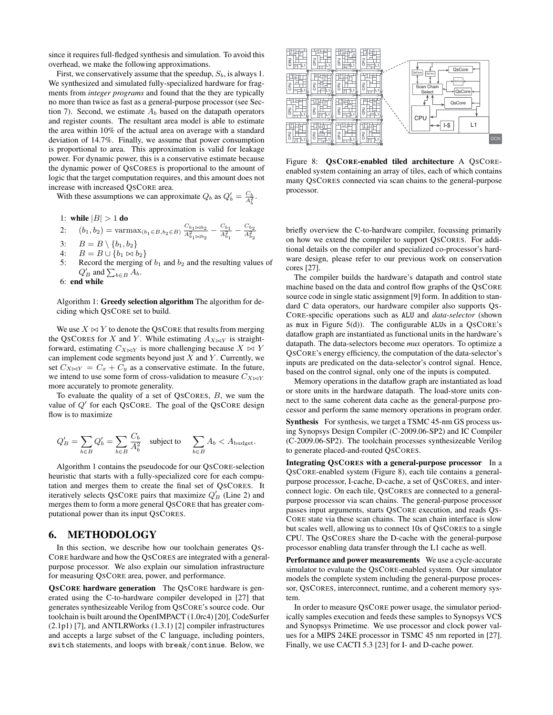since it requires full-fledged synthesis and simulation. To avoid this overhead, we make the following approximations.

First, we conservatively assume that the speedup,  $S_b$ , is always 1. We synthesized and simulated fully-specialized hardware for fragments from *integer programs* and found that the they are typically no more than twice as fast as a general-purpose processor (see Section 7). Second, we estimate  $A_b$  based on the datapath operators and register counts. The resultant area model is able to estimate the area within 10% of the actual area on average with a standard deviation of 14.7%. Finally, we assume that power consumption is proportional to area. This approximation is valid for leakage power. For dynamic power, this is a conservative estimate because the dynamic power of QSCORES is proportional to the amount of logic that the target computation requires, and this amount does not increase with increased QSCORE area.

With these assumptions we can approximate  $Q_b$  as  $Q'_b = \frac{C_b}{A_b^2}$ .

1: while 
$$
|B| > 1
$$
 do

2: 
$$
(b_1, b_2)
$$
 =  $\text{varmax}_{(b_1 \in B, b_2 \in B)} \frac{C_{b_1 \times b_2}}{A_{b_1 \times b_2}} - \frac{C_{b_1}}{A_{b_1}} - \frac{C_{b_2}}{A_{b_2}}.$ 

- 3:  $B = B \setminus \{b_1, b_2\}$ <br>4:  $B = B \cup \{b_1 \bowtie b_2\}$
- 4:  $B = B \cup \{b_1 \bowtie b_2\}$ <br>5: Record the merging
- Record the merging of  $b_1$  and  $b_2$  and the resulting values of  $Q'_B$  and  $\sum_{b \in B} A_b$ .
- 6: end while

Algorithm 1: Greedy selection algorithm The algorithm for deciding which QSCORE set to build.

We use  $X \bowtie Y$  to denote the QSCORE that results from merging the QSCORES for *X* and *Y*. While estimating  $A_{X \bowtie Y}$  is straightforward, estimating  $C_{X\bowtie Y}$  is more challenging because  $X \bowtie Y$ can implement code segments beyond just *X* and *Y* . Currently, we set  $C_{X\bowtie Y} = C_x + C_y$  as a conservative estimate. In the future, we intend to use some form of cross-validation to measure  $C_{X\bowtie Y}$ more accurately to promote generality.

To evaluate the quality of a set of QSCORES, *B*, we sum the value of  $Q'$  for each QSCORE. The goal of the QSCORE design flow is to maximize

$$
Q'_B = \sum_{b \in B} Q'_b = \sum_{b \in B} \frac{C_b}{A_b^2} \quad \text{subject to} \quad \sum_{b \in B} A_b < A_{\text{budget}}.
$$

Algorithm 1 contains the pseudocode for our QSCORE-selection heuristic that starts with a fully-specialized core for each computation and merges them to create the final set of QSCORES. It iteratively selects QSCORE pairs that maximize  $Q'_B$  (Line 2) and merges them to form a more general QSCORE that has greater computational power than its input QSCORES.

# 6. METHODOLOGY

In this section, we describe how our toolchain generates QS-CORE hardware and how the QSCORES are integrated with a generalpurpose processor. We also explain our simulation infrastructure for measuring QSCORE area, power, and performance.

QSCORE hardware generation The QSCORE hardware is generated using the C-to-hardware compiler developed in [27] that generates synthesizeable Verilog from QSCORE's source code. Our toolchain is built around the OpenIMPACT (1.0rc4) [20], CodeSurfer (2.1p1) [7], and ANTLRWorks (1.3.1) [2] compiler infrastructures and accepts a large subset of the C language, including pointers, switch statements, and loops with break*/*continue. Below, we



Figure 8: **QSCORE-enabled tiled architecture** A QSCOREenabled system containing an array of tiles, each of which contains many QSCORES connected via scan chains to the general-purpose processor.

briefly overview the C-to-hardware compiler, focussing primarily on how we extend the compiler to support QSCORES. For additional details on the compiler and specialized co-processor's hardware design, please refer to our previous work on conservation cores [27].

The compiler builds the hardware's datapath and control state machine based on the data and control flow graphs of the QSCORE source code in single static assignment [9] form. In addition to standard C data operators, our hardware compiler also supports QS-CORE-specific operations such as ALU and *data-selector* (shown as mux in Figure  $5(d)$ ). The configurable ALUs in a QSCORE's dataflow graph are instantiated as functional units in the hardware's datapath. The data-selectors become *mux* operators. To optimize a QSCORE's energy efficiency, the computation of the data-selector's inputs are predicated on the data-selector's control signal. Hence, based on the control signal, only one of the inputs is computed.

Memory operations in the dataflow graph are instantiated as load or store units in the hardware datapath. The load-store units connect to the same coherent data cache as the general-purpose processor and perform the same memory operations in program order.

Synthesis For synthesis, we target a TSMC 45-nm GS process using Synopsys Design Compiler (C-2009.06-SP2) and IC Compiler (C-2009.06-SP2). The toolchain processes synthesizeable Verilog to generate placed-and-routed QSCORES.

Integrating QSCORES with a general-purpose processor In a QSCORE-enabled system (Figure 8), each tile contains a generalpurpose processor, I-cache, D-cache, a set of QSCORES, and interconnect logic. On each tile, QSCORES are connected to a generalpurpose processor via scan chains. The general-purpose processor passes input arguments, starts QSCORE execution, and reads QS-CORE state via these scan chains. The scan chain interface is slow but scales well, allowing us to connect 10s of QSCORES to a single CPU. The QSCORES share the D-cache with the general-purpose processor enabling data transfer through the L1 cache as well.

Performance and power measurements We use a cycle-accurate simulator to evaluate the QSCORE-enabled system. Our simulator models the complete system including the general-purpose processor, QSCORES, interconnect, runtime, and a coherent memory system.

In order to measure QSCORE power usage, the simulator periodically samples execution and feeds these samples to Synopsys VCS and Synopsys Primetime. We use processor and clock power values for a MIPS 24KE processor in TSMC 45 nm reported in [27]. Finally, we use CACTI 5.3 [23] for I- and D-cache power.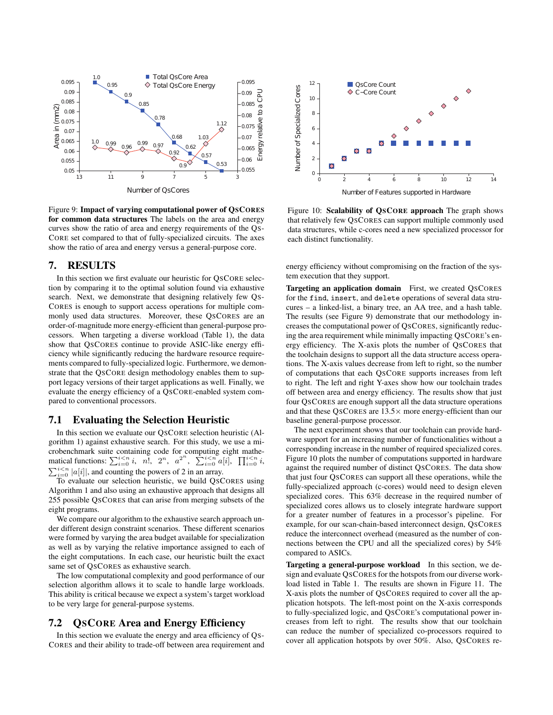

Figure 9: Impact of varying computational power of QSCORES for common data structures The labels on the area and energy curves show the ratio of area and energy requirements of the QS-CORE set compared to that of fully-specialized circuits. The axes show the ratio of area and energy versus a general-purpose core.

#### 7. RESULTS

In this section we first evaluate our heuristic for QSCORE selection by comparing it to the optimal solution found via exhaustive search. Next, we demonstrate that designing relatively few QS-CORES is enough to support access operations for multiple commonly used data structures. Moreover, these QSCORES are an order-of-magnitude more energy-efficient than general-purpose processors. When targeting a diverse workload (Table 1), the data show that QSCORES continue to provide ASIC-like energy efficiency while significantly reducing the hardware resource requirements compared to fully-specialized logic. Furthermore, we demonstrate that the QSCORE design methodology enables them to support legacy versions of their target applications as well. Finally, we evaluate the energy efficiency of a QSCORE-enabled system compared to conventional processors.

#### 7.1 Evaluating the Selection Heuristic

In this section we evaluate our QSCORE selection heuristic (Algorithm 1) against exhaustive search. For this study, we use a microbenchmark suite containing code for computing eight mathematical functions:  $\sum_{i=0}^{i \le n} i$ , *n*!,  $2^n$ ,  $a^{2^n}$ ,  $\sum_{i=0}^{i \le n} a[i]$ ,  $\prod_{i=0}^{i \le n} i$ ,  $\sum_{i=0}^{i \le n} |a[i]|$ , and counting the powers of 2 in an array.  $\sum_{i=0}^{i \leq n} |a[i]|$ , and counting the powers of 2 in an array.

To evaluate our selection heuristic, we build QSCORES using Algorithm 1 and also using an exhaustive approach that designs all 255 possible QSCORES that can arise from merging subsets of the eight programs.

We compare our algorithm to the exhaustive search approach under different design constraint scenarios. These different scenarios were formed by varying the area budget available for specialization as well as by varying the relative importance assigned to each of the eight computations. In each case, our heuristic built the exact same set of QSCORES as exhaustive search.

The low computational complexity and good performance of our selection algorithm allows it to scale to handle large workloads. This ability is critical because we expect a system's target workload to be very large for general-purpose systems.

### 7.2 QSCORE Area and Energy Efficiency

In this section we evaluate the energy and area efficiency of QS-CORES and their ability to trade-off between area requirement and



Figure 10: Scalability of OSCORE approach The graph shows that relatively few QSCORES can support multiple commonly used data structures, while c-cores need a new specialized processor for each distinct functionality.

energy efficiency without compromising on the fraction of the system execution that they support.

Targeting an application domain First, we created QSCORES for the find, insert, and delete operations of several data strucures – a linked-list, a binary tree, an AA tree, and a hash table. The results (see Figure 9) demonstrate that our methodology increases the computational power of QSCORES, significantly reducing the area requirement while minimally impacting QSCORE's energy efficiency. The X-axis plots the number of QSCORES that the toolchain designs to support all the data structure access operations. The X-axis values decrease from left to right, so the number of computations that each QSCORE supports increases from left to right. The left and right Y-axes show how our toolchain trades off between area and energy efficiency. The results show that just four QSCORES are enough support all the data structure operations and that these QSCORES are  $13.5\times$  more energy-efficient than our baseline general-purpose processor.

The next experiment shows that our toolchain can provide hardware support for an increasing number of functionalities without a corresponding increase in the number of required specialized cores. Figure 10 plots the number of computations supported in hardware against the required number of distinct QSCORES. The data show that just four QSCORES can support all these operations, while the fully-specialized approach (c-cores) would need to design eleven specialized cores. This 63% decrease in the required number of specialized cores allows us to closely integrate hardware support for a greater number of features in a processor's pipeline. For example, for our scan-chain-based interconnect design, QSCORES reduce the interconnect overhead (measured as the number of connections between the CPU and all the specialized cores) by 54% compared to ASICs.

Targeting a general-purpose workload In this section, we design and evaluate QSCORES for the hotspots from our diverse workload listed in Table 1. The results are shown in Figure 11. The X-axis plots the number of QSCORES required to cover all the application hotspots. The left-most point on the X-axis corresponds to fully-specialized logic, and QSCORE's computational power increases from left to right. The results show that our toolchain can reduce the number of specialized co-processors required to cover all application hotspots by over 50%. Also, QSCORES re-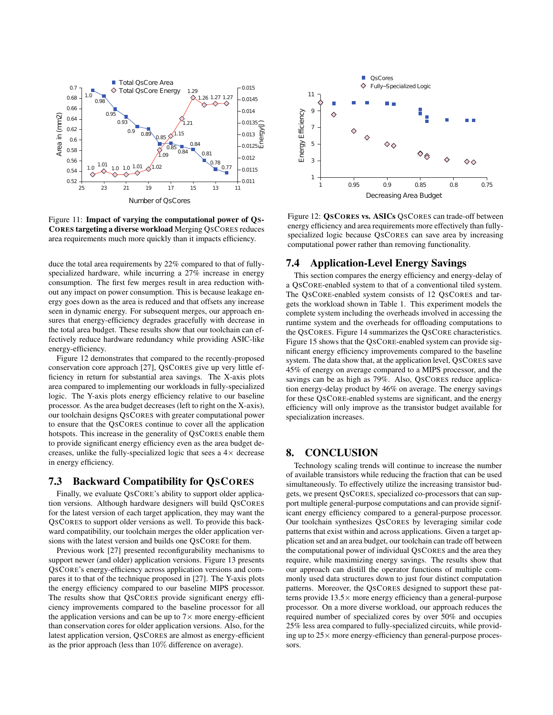

Figure 11: Impact of varying the computational power of QS-CORES targeting a diverse workload Merging QSCORES reduces area requirements much more quickly than it impacts efficiency.

duce the total area requirements by 22% compared to that of fullyspecialized hardware, while incurring a 27% increase in energy consumption. The first few merges result in area reduction without any impact on power consumption. This is because leakage energy goes down as the area is reduced and that offsets any increase seen in dynamic energy. For subsequent merges, our approach ensures that energy-efficiency degrades gracefully with decrease in the total area budget. These results show that our toolchain can effectively reduce hardware redundancy while providing ASIC-like energy-efficiency.

Figure 12 demonstrates that compared to the recently-proposed conservation core approach [27], QSCORES give up very little efficiency in return for substantial area savings. The X-axis plots area compared to implementing our workloads in fully-specialized logic. The Y-axis plots energy efficiency relative to our baseline processor. As the area budget decreases (left to right on the X-axis), our toolchain designs QSCORES with greater computational power to ensure that the QSCORES continue to cover all the application hotspots. This increase in the generality of QSCORES enable them to provide significant energy efficiency even as the area budget decreases, unlike the fully-specialized logic that sees a  $4 \times$  decrease in energy efficiency.

# 7.3 Backward Compatibility for QSCORES

Finally, we evaluate QSCORE's ability to support older application versions. Although hardware designers will build QSCORES for the latest version of each target application, they may want the QSCORES to support older versions as well. To provide this backward compatibility, our toolchain merges the older application versions with the latest version and builds one QSCORE for them.

Previous work [27] presented reconfigurability mechanisms to support newer (and older) application versions. Figure 13 presents QSCORE's energy-efficiency across application versions and compares it to that of the technique proposed in [27]. The Y-axis plots the energy efficiency compared to our baseline MIPS processor. The results show that QSCORES provide significant energy efficiency improvements compared to the baseline processor for all the application versions and can be up to  $7\times$  more energy-efficient than conservation cores for older application versions. Also, for the latest application version, QSCORES are almost as energy-efficient as the prior approach (less than 10% difference on average).



Figure 12: **OSCORES vs. ASICs** OSCORES can trade-off between energy efficiency and area requirements more effectively than fullyspecialized logic because QSCORES can save area by increasing computational power rather than removing functionality.

# 7.4 Application-Level Energy Savings

This section compares the energy efficiency and energy-delay of a QSCORE-enabled system to that of a conventional tiled system. The QSCORE-enabled system consists of 12 QSCORES and targets the workload shown in Table 1. This experiment models the complete system including the overheads involved in accessing the runtime system and the overheads for offloading computations to the QSCORES. Figure 14 summarizes the QSCORE characteristics. Figure 15 shows that the QSCORE-enabled system can provide significant energy efficiency improvements compared to the baseline system. The data show that, at the application level, QSCORES save 45% of energy on average compared to a MIPS processor, and the savings can be as high as 79%. Also, OSCORES reduce application energy-delay product by 46% on average. The energy savings for these QSCORE-enabled systems are significant, and the energy efficiency will only improve as the transistor budget available for specialization increases.

# 8. CONCLUSION

Technology scaling trends will continue to increase the number of available transistors while reducing the fraction that can be used simultaneously. To effectively utilize the increasing transistor budgets, we present QSCORES, specialized co-processors that can support multiple general-purpose computations and can provide significant energy efficiency compared to a general-purpose processor. Our toolchain synthesizes QSCORES by leveraging similar code patterns that exist within and across applications. Given a target application set and an area budget, our toolchain can trade off between the computational power of individual QSCORES and the area they require, while maximizing energy savings. The results show that our approach can distill the operator functions of multiple commonly used data structures down to just four distinct computation patterns. Moreover, the QSCORES designed to support these patterns provide  $13.5\times$  more energy efficiency than a general-purpose processor. On a more diverse workload, our approach reduces the required number of specialized cores by over 50% and occupies 25% less area compared to fully-specialized circuits, while providing up to  $25 \times$  more energy-efficiency than general-purpose processors.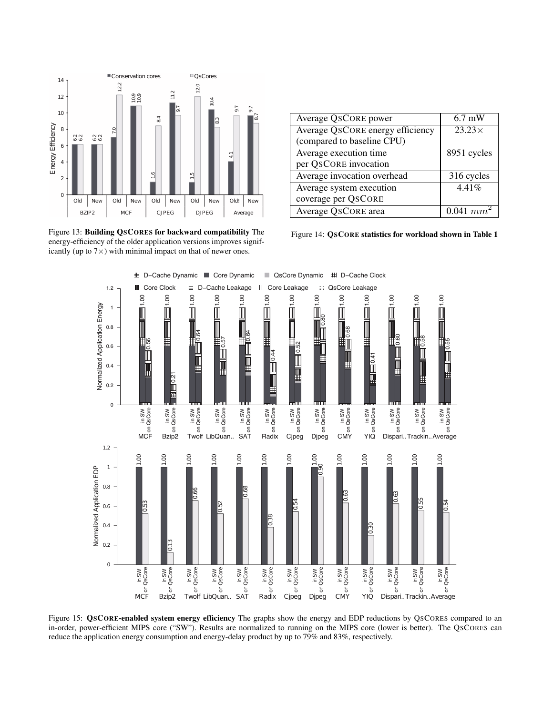

Figure 13: Building QSCORES for backward compatibility The energy-efficiency of the older application versions improves significantly (up to  $7\times$ ) with minimal impact on that of newer ones.

| Average QSCORE power             | $6.7 \text{ mW}$ |
|----------------------------------|------------------|
| Average QSCORE energy efficiency | $23.23\times$    |
| (compared to baseline CPU)       |                  |
| Average execution time           | 8951 cycles      |
| per QSCORE invocation            |                  |
| Average invocation overhead      | 316 cycles       |
| Average system execution         | 4.41%            |
| coverage per QSCORE              |                  |
| Average QSCORE area              | $0.041 \; mm^2$  |

Figure 14: QSCORE statistics for workload shown in Table 1



Figure 15: QSCORE-enabled system energy efficiency The graphs show the energy and EDP reductions by QSCORES compared to an in-order, power-efficient MIPS core ("SW"). Results are normalized to running on the MIPS core (lower is better). The QSCORES can reduce the application energy consumption and energy-delay product by up to 79% and 83%, respectively.